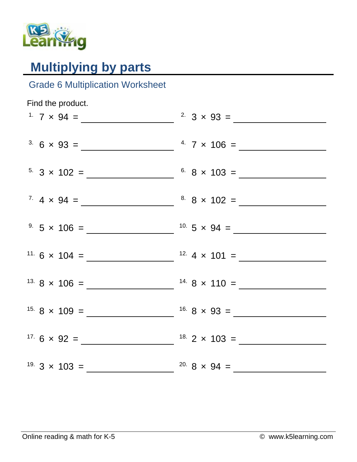

## **Multiplying by parts**

## Grade 6 Multiplication Worksheet

| Find the product. |                       |
|-------------------|-----------------------|
|                   | <sup>2</sup> 3 × 93 = |
|                   |                       |
|                   |                       |
|                   |                       |
|                   |                       |
|                   |                       |
|                   |                       |
|                   |                       |
|                   |                       |
|                   |                       |